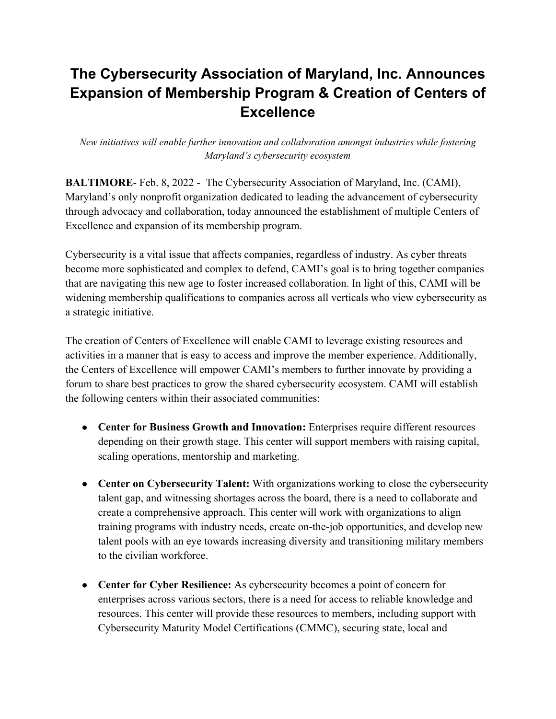## **The Cybersecurity Association of Maryland, Inc. Announces Expansion of Membership Program & Creation of Centers of Excellence**

*New initiatives will enable further innovation and collaboration amongst industries while fostering Maryland's cybersecurity ecosystem* 

**BALTIMORE**- Feb. 8, 2022 - The Cybersecurity Association of Maryland, Inc. (CAMI), Maryland's only nonprofit organization dedicated to leading the advancement of cybersecurity through advocacy and collaboration, today announced the establishment of multiple Centers of Excellence and expansion of its membership program.

Cybersecurity is a vital issue that affects companies, regardless of industry. As cyber threats become more sophisticated and complex to defend, CAMI's goal is to bring together companies that are navigating this new age to foster increased collaboration. In light of this, CAMI will be widening membership qualifications to companies across all verticals who view cybersecurity as a strategic initiative.

The creation of Centers of Excellence will enable CAMI to leverage existing resources and activities in a manner that is easy to access and improve the member experience. Additionally, the Centers of Excellence will empower CAMI's members to further innovate by providing a forum to share best practices to grow the shared cybersecurity ecosystem. CAMI will establish the following centers within their associated communities:

- **Center for Business Growth and Innovation:** Enterprises require different resources depending on their growth stage. This center will support members with raising capital, scaling operations, mentorship and marketing.
- **Center on Cybersecurity Talent:** With organizations working to close the cybersecurity talent gap, and witnessing shortages across the board, there is a need to collaborate and create a comprehensive approach. This center will work with organizations to align training programs with industry needs, create on-the-job opportunities, and develop new talent pools with an eye towards increasing diversity and transitioning military members to the civilian workforce.
- **Center for Cyber Resilience:** As cybersecurity becomes a point of concern for enterprises across various sectors, there is a need for access to reliable knowledge and resources. This center will provide these resources to members, including support with Cybersecurity Maturity Model Certifications (CMMC), securing state, local and